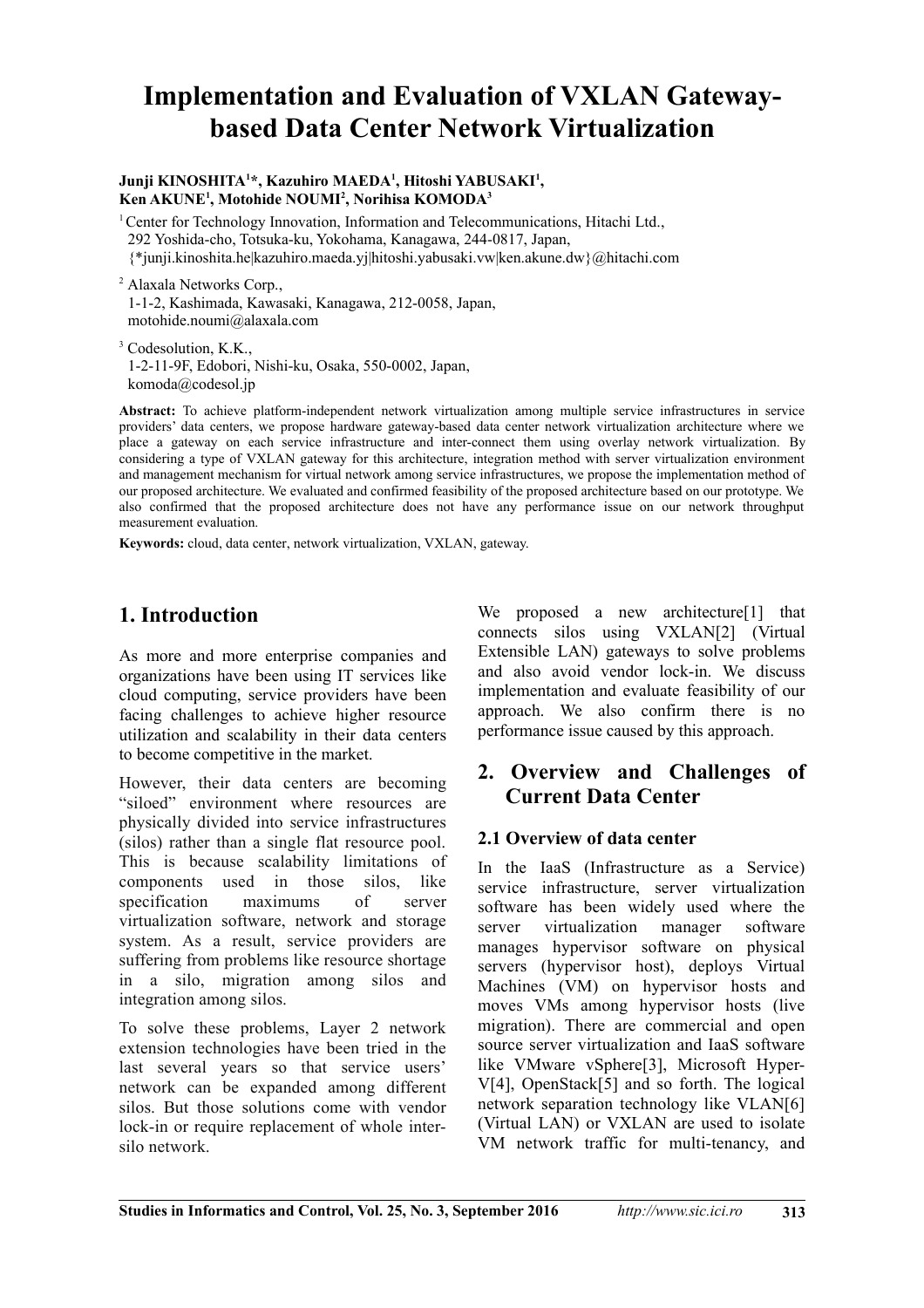# **Implementation and Evaluation of VXLAN Gatewaybased Data Center Network Virtualization**

#### **Junji KINOSHITA<sup>1</sup> \*, Kazuhiro MAEDA<sup>1</sup> , Hitoshi YABUSAKI<sup>1</sup> , Ken AKUNE<sup>1</sup> , Motohide NOUMI<sup>2</sup> , Norihisa KOMODA<sup>3</sup>**

<sup>1</sup>Center for Technology Innovation, Information and Telecommunications, Hitachi Ltd., 292 Yoshida-cho, Totsuka-ku, Yokohama, Kanagawa, 244-0817, Japan, {\*junji.kinoshita.he|kazuhiro.maeda.yj|hitoshi.yabusaki.vw|ken.akune.dw}@hitachi.com

2 Alaxala Networks Corp., 1-1-2, Kashimada, Kawasaki, Kanagawa, 212-0058, Japan, motohide.noumi@alaxala.com

<sup>3</sup> Codesolution, K.K., 1-2-11-9F, Edobori, Nishi-ku, Osaka, 550-0002, Japan, komoda@codesol.jp

**Abstract:** To achieve platform-independent network virtualization among multiple service infrastructures in service providers' data centers, we propose hardware gateway-based data center network virtualization architecture where we place a gateway on each service infrastructure and inter-connect them using overlay network virtualization. By considering a type of VXLAN gateway for this architecture, integration method with server virtualization environment and management mechanism for virtual network among service infrastructures, we propose the implementation method of our proposed architecture. We evaluated and confirmed feasibility of the proposed architecture based on our prototype. We also confirmed that the proposed architecture does not have any performance issue on our network throughput measurement evaluation.

**Keywords:** cloud, data center, network virtualization, VXLAN, gateway.

# **1. Introduction**

As more and more enterprise companies and organizations have been using IT services like cloud computing, service providers have been facing challenges to achieve higher resource utilization and scalability in their data centers to become competitive in the market.

However, their data centers are becoming "siloed" environment where resources are physically divided into service infrastructures (silos) rather than a single flat resource pool. This is because scalability limitations of components used in those silos, like specification maximums of server virtualization software, network and storage system. As a result, service providers are suffering from problems like resource shortage in a silo, migration among silos and integration among silos.

To solve these problems, Layer 2 network extension technologies have been tried in the last several years so that service users' network can be expanded among different silos. But those solutions come with vendor lock-in or require replacement of whole intersilo network.

We proposed a new architecture<sup>[1]</sup> that connects silos using VXLAN[2] (Virtual Extensible LAN) gateways to solve problems and also avoid vendor lock-in. We discuss implementation and evaluate feasibility of our approach. We also confirm there is no performance issue caused by this approach.

### **2. Overview and Challenges of Current Data Center**

#### **2.1 Overview of data center**

In the IaaS (Infrastructure as a Service) service infrastructure, server virtualization software has been widely used where the server virtualization manager software manages hypervisor software on physical servers (hypervisor host), deploys Virtual Machines (VM) on hypervisor hosts and moves VMs among hypervisor hosts (live migration). There are commercial and open source server virtualization and IaaS software like VMware vSphere[3], Microsoft Hyper-V[4], OpenStack[5] and so forth. The logical network separation technology like VLAN[6] (Virtual LAN) or VXLAN are used to isolate VM network traffic for multi-tenancy, and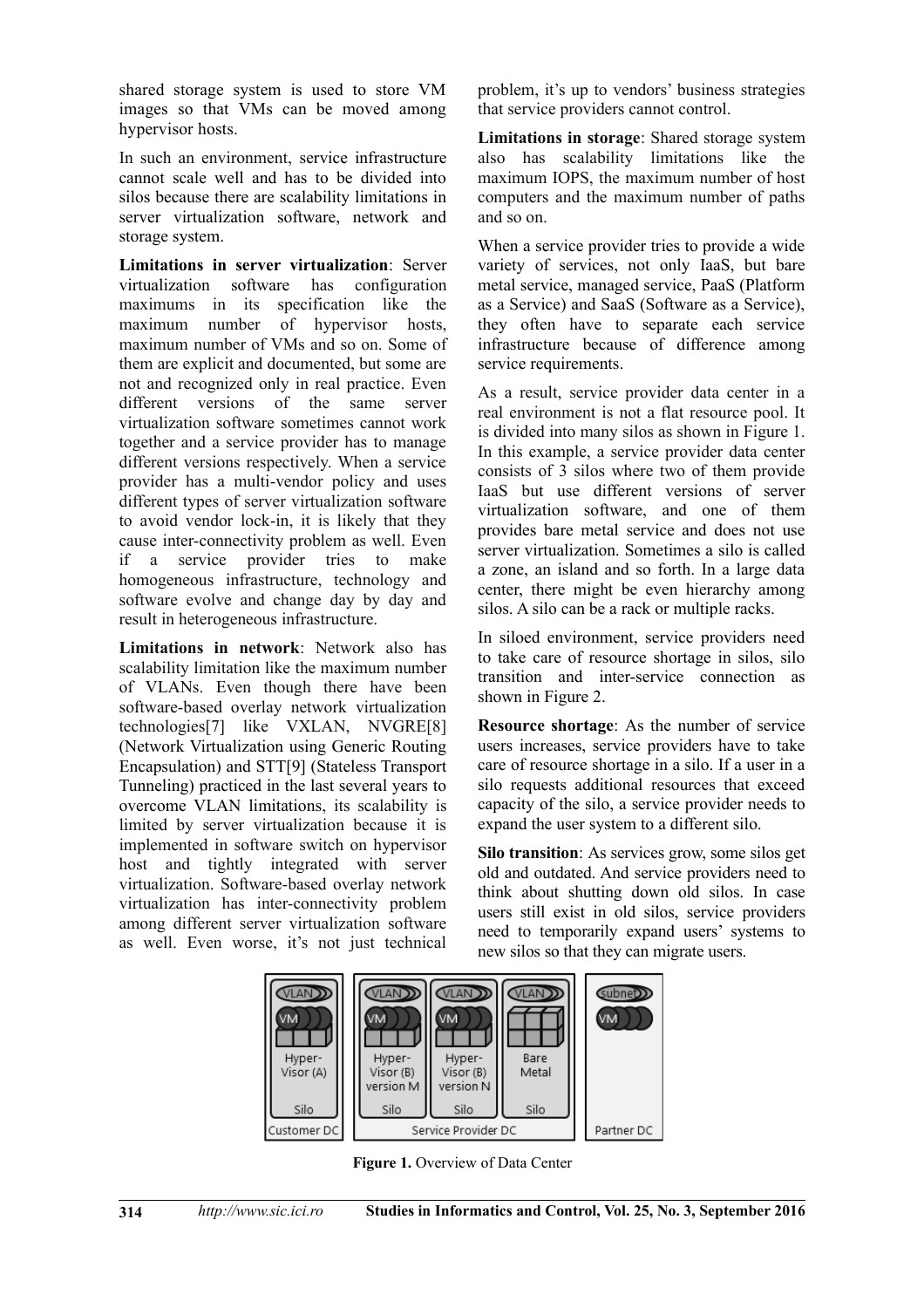shared storage system is used to store VM images so that VMs can be moved among hypervisor hosts.

In such an environment, service infrastructure cannot scale well and has to be divided into silos because there are scalability limitations in server virtualization software, network and storage system.

**Limitations in server virtualization**: Server virtualization software has configuration maximums in its specification like the maximum number of hypervisor hosts, maximum number of VMs and so on. Some of them are explicit and documented, but some are not and recognized only in real practice. Even different versions of the same server virtualization software sometimes cannot work together and a service provider has to manage different versions respectively. When a service provider has a multi-vendor policy and uses different types of server virtualization software to avoid vendor lock-in, it is likely that they cause inter-connectivity problem as well. Even if a service provider tries to make homogeneous infrastructure, technology and software evolve and change day by day and result in heterogeneous infrastructure.

**Limitations in network**: Network also has scalability limitation like the maximum number of VLANs. Even though there have been software-based overlay network virtualization technologies[7] like VXLAN, NVGRE[8] (Network Virtualization using Generic Routing Encapsulation) and STT[9] (Stateless Transport Tunneling) practiced in the last several years to overcome VLAN limitations, its scalability is limited by server virtualization because it is implemented in software switch on hypervisor host and tightly integrated with server virtualization. Software-based overlay network virtualization has inter-connectivity problem among different server virtualization software as well. Even worse, it's not just technical problem, it's up to vendors' business strategies that service providers cannot control.

**Limitations in storage**: Shared storage system also has scalability limitations like the maximum IOPS, the maximum number of host computers and the maximum number of paths and so on.

When a service provider tries to provide a wide variety of services, not only IaaS, but bare metal service, managed service, PaaS (Platform as a Service) and SaaS (Software as a Service), they often have to separate each service infrastructure because of difference among service requirements.

As a result, service provider data center in a real environment is not a flat resource pool. It is divided into many silos as shown in Figure 1. In this example, a service provider data center consists of 3 silos where two of them provide IaaS but use different versions of server virtualization software, and one of them provides bare metal service and does not use server virtualization. Sometimes a silo is called a zone, an island and so forth. In a large data center, there might be even hierarchy among silos. A silo can be a rack or multiple racks.

In siloed environment, service providers need to take care of resource shortage in silos, silo transition and inter-service connection as shown in Figure 2.

**Resource shortage**: As the number of service users increases, service providers have to take care of resource shortage in a silo. If a user in a silo requests additional resources that exceed capacity of the silo, a service provider needs to expand the user system to a different silo.

**Silo transition**: As services grow, some silos get old and outdated. And service providers need to think about shutting down old silos. In case users still exist in old silos, service providers need to temporarily expand users' systems to new silos so that they can migrate users.



**Figure 1.** Overview of Data Center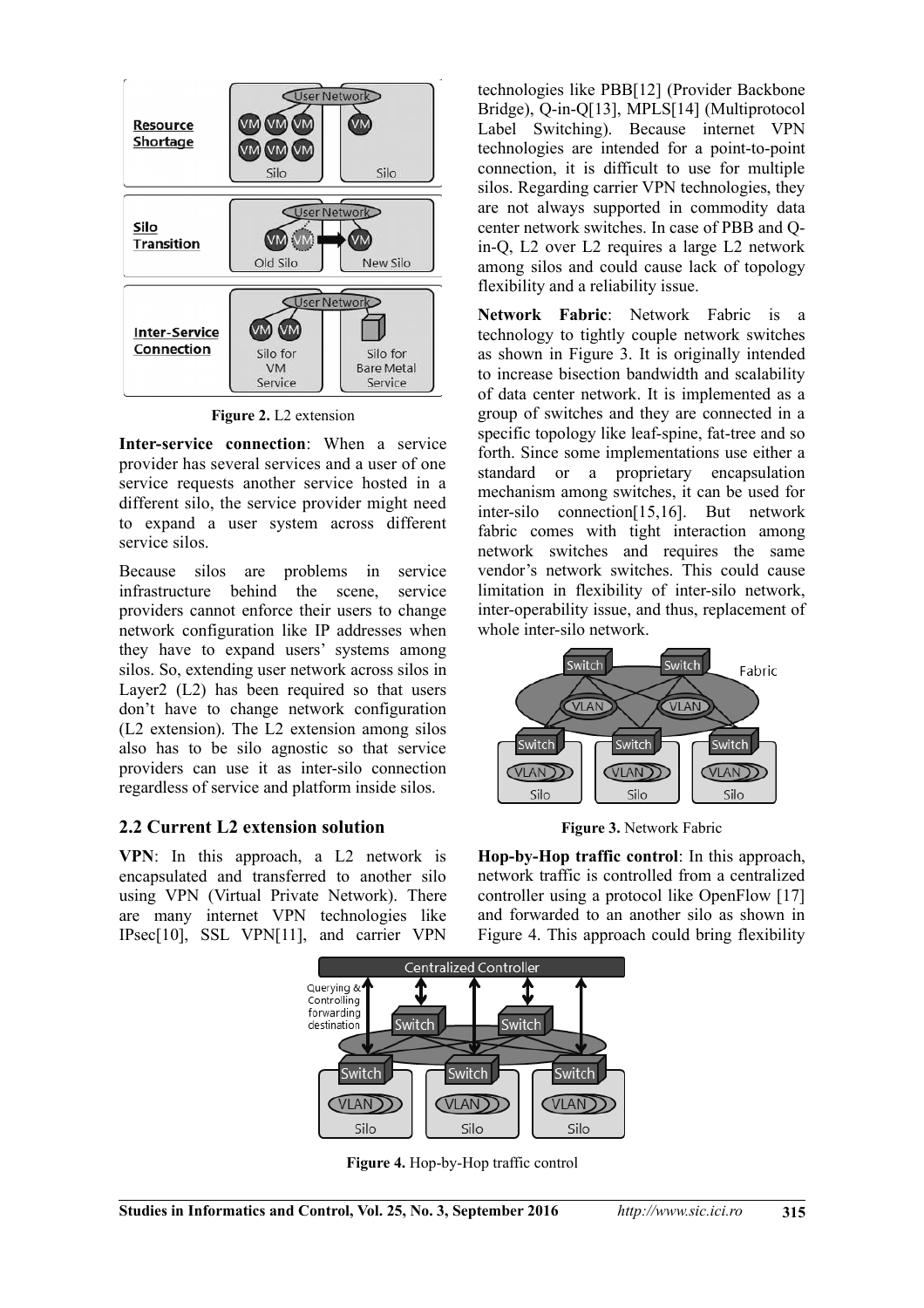

**Figure 2.** L2 extension

**Inter-service connection**: When a service provider has several services and a user of one service requests another service hosted in a different silo, the service provider might need to expand a user system across different service silos.

Because silos are problems in service infrastructure behind the scene, service providers cannot enforce their users to change network configuration like IP addresses when they have to expand users' systems among silos. So, extending user network across silos in Layer2 (L2) has been required so that users don't have to change network configuration (L2 extension). The L2 extension among silos also has to be silo agnostic so that service providers can use it as inter-silo connection regardless of service and platform inside silos.

#### **2.2 Current L2 extension solution**

**VPN**: In this approach, a L2 network is encapsulated and transferred to another silo using VPN (Virtual Private Network). There are many internet VPN technologies like IPsec[10], SSL VPN[11], and carrier VPN

technologies like PBB[12] (Provider Backbone Bridge), Q-in-Q[13], MPLS[14] (Multiprotocol Label Switching). Because internet VPN technologies are intended for a point-to-point connection, it is difficult to use for multiple silos. Regarding carrier VPN technologies, they are not always supported in commodity data center network switches. In case of PBB and Qin-Q, L2 over L2 requires a large L2 network among silos and could cause lack of topology flexibility and a reliability issue.

**Network Fabric**: Network Fabric is a technology to tightly couple network switches as shown in Figure 3. It is originally intended to increase bisection bandwidth and scalability of data center network. It is implemented as a group of switches and they are connected in a specific topology like leaf-spine, fat-tree and so forth. Since some implementations use either a standard or a proprietary encapsulation mechanism among switches, it can be used for inter-silo connection[15,16]. But network fabric comes with tight interaction among network switches and requires the same vendor's network switches. This could cause limitation in flexibility of inter-silo network, inter-operability issue, and thus, replacement of whole inter-silo network.



**Figure 3.** Network Fabric

**Hop-by-Hop traffic control**: In this approach, network traffic is controlled from a centralized controller using a protocol like OpenFlow [17] and forwarded to an another silo as shown in Figure 4. This approach could bring flexibility



**Figure 4.** Hop-by-Hop traffic control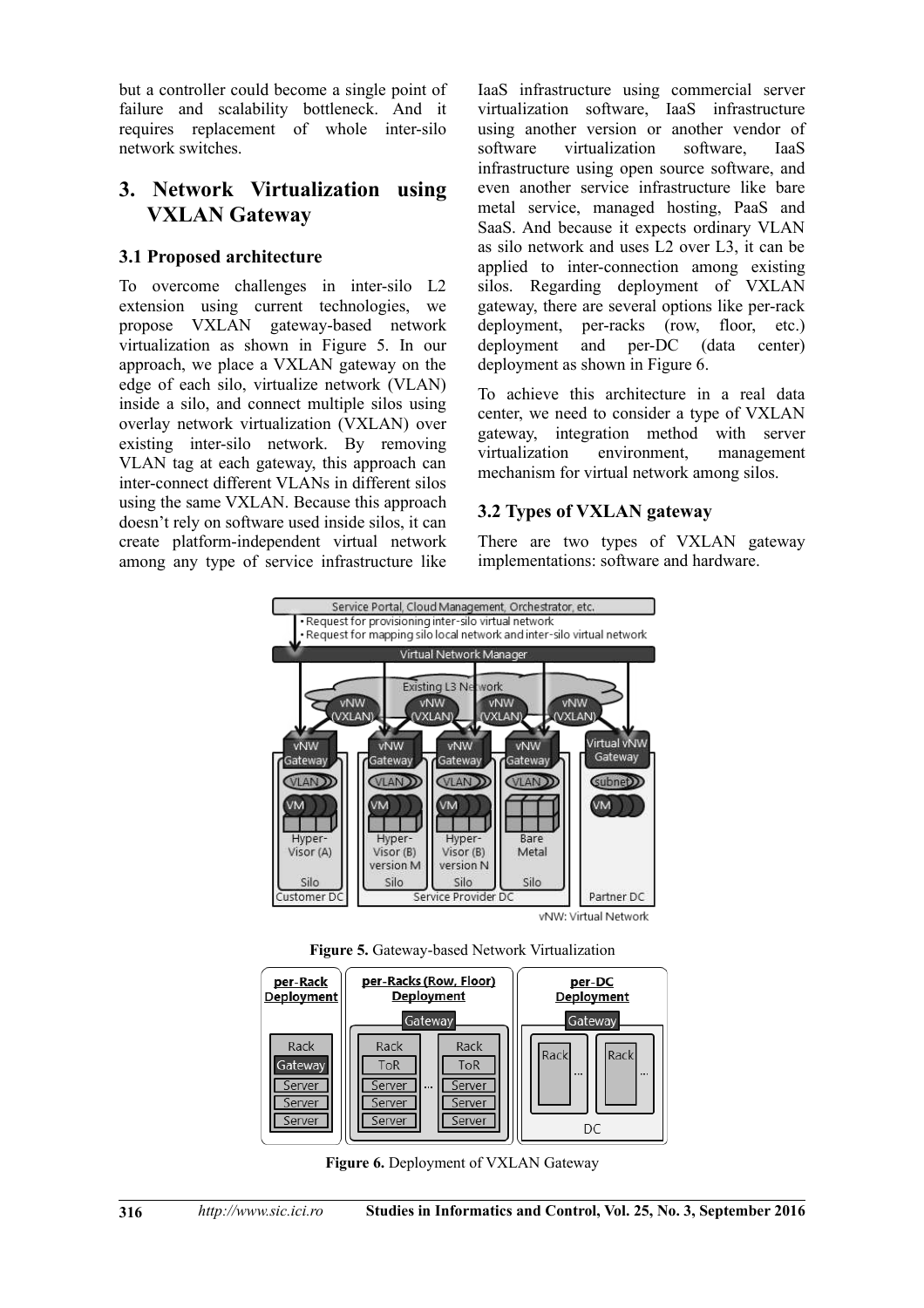but a controller could become a single point of failure and scalability bottleneck. And it requires replacement of whole inter-silo network switches.

# **3. Network Virtualization using VXLAN Gateway**

### **3.1 Proposed architecture**

To overcome challenges in inter-silo L2 extension using current technologies, we propose VXLAN gateway-based network virtualization as shown in Figure 5. In our approach, we place a VXLAN gateway on the edge of each silo, virtualize network (VLAN) inside a silo, and connect multiple silos using overlay network virtualization (VXLAN) over existing inter-silo network. By removing VLAN tag at each gateway, this approach can inter-connect different VLANs in different silos using the same VXLAN. Because this approach doesn't rely on software used inside silos, it can create platform-independent virtual network among any type of service infrastructure like

IaaS infrastructure using commercial server virtualization software, IaaS infrastructure using another version or another vendor of software virtualization software, IaaS infrastructure using open source software, and even another service infrastructure like bare metal service, managed hosting, PaaS and SaaS. And because it expects ordinary VLAN as silo network and uses L2 over L3, it can be applied to inter-connection among existing silos. Regarding deployment of VXLAN gateway, there are several options like per-rack deployment, per-racks (row, floor, etc.) deployment and per-DC (data center) deployment as shown in Figure 6.

To achieve this architecture in a real data center, we need to consider a type of VXLAN gateway, integration method with server virtualization environment management mechanism for virtual network among silos.

### **3.2 Types of VXLAN gateway**

There are two types of VXLAN gateway implementations: software and hardware.







**Figure 6.** Deployment of VXLAN Gateway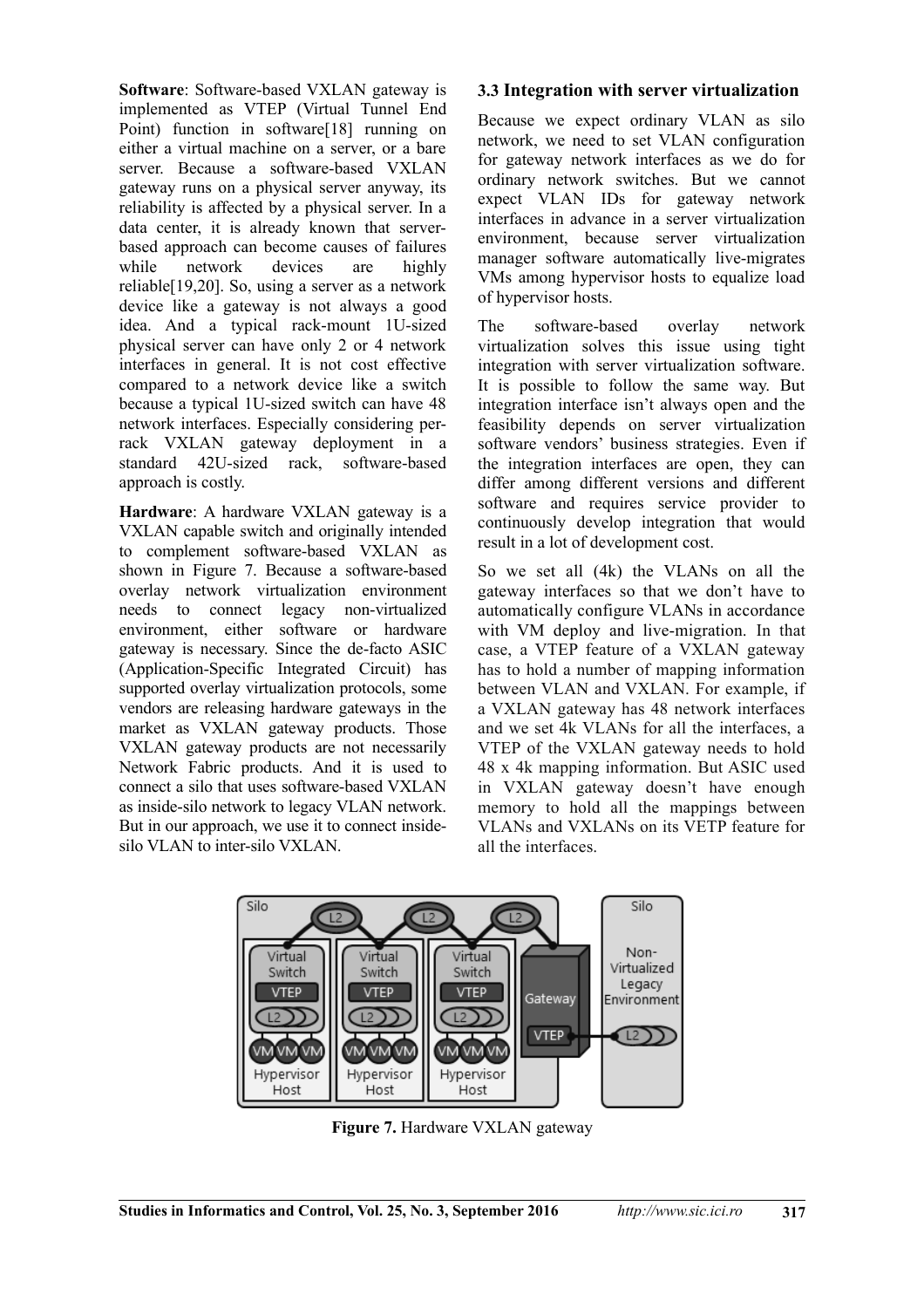**Software**: Software-based VXLAN gateway is implemented as VTEP (Virtual Tunnel End Point) function in software<sup>[18]</sup> running on either a virtual machine on a server, or a bare server. Because a software-based VXLAN gateway runs on a physical server anyway, its reliability is affected by a physical server. In a data center, it is already known that serverbased approach can become causes of failures while network devices are highly reliable[19,20]. So, using a server as a network device like a gateway is not always a good idea. And a typical rack-mount 1U-sized physical server can have only 2 or 4 network interfaces in general. It is not cost effective compared to a network device like a switch because a typical 1U-sized switch can have 48 network interfaces. Especially considering perrack VXLAN gateway deployment in a standard 42U-sized rack, software-based approach is costly.

**Hardware**: A hardware VXLAN gateway is a VXLAN capable switch and originally intended to complement software-based VXLAN as shown in Figure 7. Because a software-based overlay network virtualization environment needs to connect legacy non-virtualized environment, either software or hardware gateway is necessary. Since the de-facto ASIC (Application-Specific Integrated Circuit) has supported overlay virtualization protocols, some vendors are releasing hardware gateways in the market as VXLAN gateway products. Those VXLAN gateway products are not necessarily Network Fabric products. And it is used to connect a silo that uses software-based VXLAN as inside-silo network to legacy VLAN network. But in our approach, we use it to connect insidesilo VLAN to inter-silo VXLAN.

#### **3.3 Integration with server virtualization**

Because we expect ordinary VLAN as silo network, we need to set VLAN configuration for gateway network interfaces as we do for ordinary network switches. But we cannot expect VLAN IDs for gateway network interfaces in advance in a server virtualization environment, because server virtualization manager software automatically live-migrates VMs among hypervisor hosts to equalize load of hypervisor hosts.

The software-based overlay network virtualization solves this issue using tight integration with server virtualization software. It is possible to follow the same way. But integration interface isn't always open and the feasibility depends on server virtualization software vendors' business strategies. Even if the integration interfaces are open, they can differ among different versions and different software and requires service provider to continuously develop integration that would result in a lot of development cost.

So we set all (4k) the VLANs on all the gateway interfaces so that we don't have to automatically configure VLANs in accordance with VM deploy and live-migration. In that case, a VTEP feature of a VXLAN gateway has to hold a number of mapping information between VLAN and VXLAN. For example, if a VXLAN gateway has 48 network interfaces and we set 4k VLANs for all the interfaces, a VTEP of the VXLAN gateway needs to hold 48 x 4k mapping information. But ASIC used in VXLAN gateway doesn't have enough memory to hold all the mappings between VLANs and VXLANs on its VETP feature for all the interfaces.



**Figure 7.** Hardware VXLAN gateway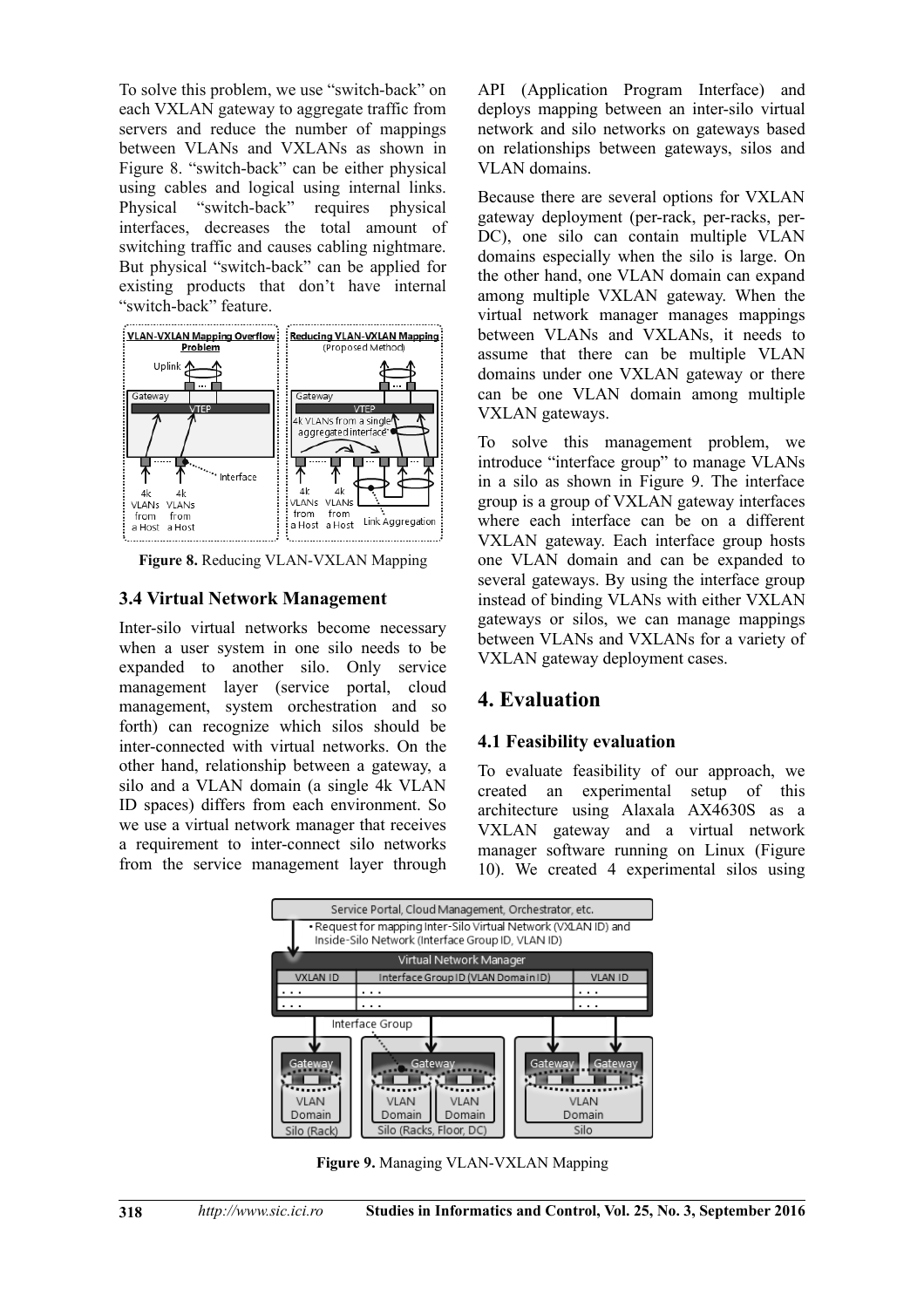To solve this problem, we use "switch-back" on each VXLAN gateway to aggregate traffic from servers and reduce the number of mappings between VLANs and VXLANs as shown in Figure 8. "switch-back" can be either physical using cables and logical using internal links. Physical "switch-back" requires physical interfaces, decreases the total amount of switching traffic and causes cabling nightmare. But physical "switch-back" can be applied for existing products that don't have internal "switch-back" feature.



**Figure 8.** Reducing VLAN-VXLAN Mapping

#### **3.4 Virtual Network Management**

Inter-silo virtual networks become necessary when a user system in one silo needs to be expanded to another silo. Only service management layer (service portal, cloud management, system orchestration and so forth) can recognize which silos should be inter-connected with virtual networks. On the other hand, relationship between a gateway, a silo and a VLAN domain (a single 4k VLAN ID spaces) differs from each environment. So we use a virtual network manager that receives a requirement to inter-connect silo networks from the service management layer through API (Application Program Interface) and deploys mapping between an inter-silo virtual network and silo networks on gateways based on relationships between gateways, silos and VLAN domains.

Because there are several options for VXLAN gateway deployment (per-rack, per-racks, per-DC), one silo can contain multiple VLAN domains especially when the silo is large. On the other hand, one VLAN domain can expand among multiple VXLAN gateway. When the virtual network manager manages mappings between VLANs and VXLANs, it needs to assume that there can be multiple VLAN domains under one VXLAN gateway or there can be one VLAN domain among multiple VXLAN gateways.

To solve this management problem, we introduce "interface group" to manage VLANs in a silo as shown in Figure 9. The interface group is a group of VXLAN gateway interfaces where each interface can be on a different VXLAN gateway. Each interface group hosts one VLAN domain and can be expanded to several gateways. By using the interface group instead of binding VLANs with either VXLAN gateways or silos, we can manage mappings between VLANs and VXLANs for a variety of VXLAN gateway deployment cases.

# **4. Evaluation**

### **4.1 Feasibility evaluation**

To evaluate feasibility of our approach, we created an experimental setup of this architecture using Alaxala AX4630S as a VXLAN gateway and a virtual network manager software running on Linux (Figure 10). We created 4 experimental silos using



**Figure 9.** Managing VLAN-VXLAN Mapping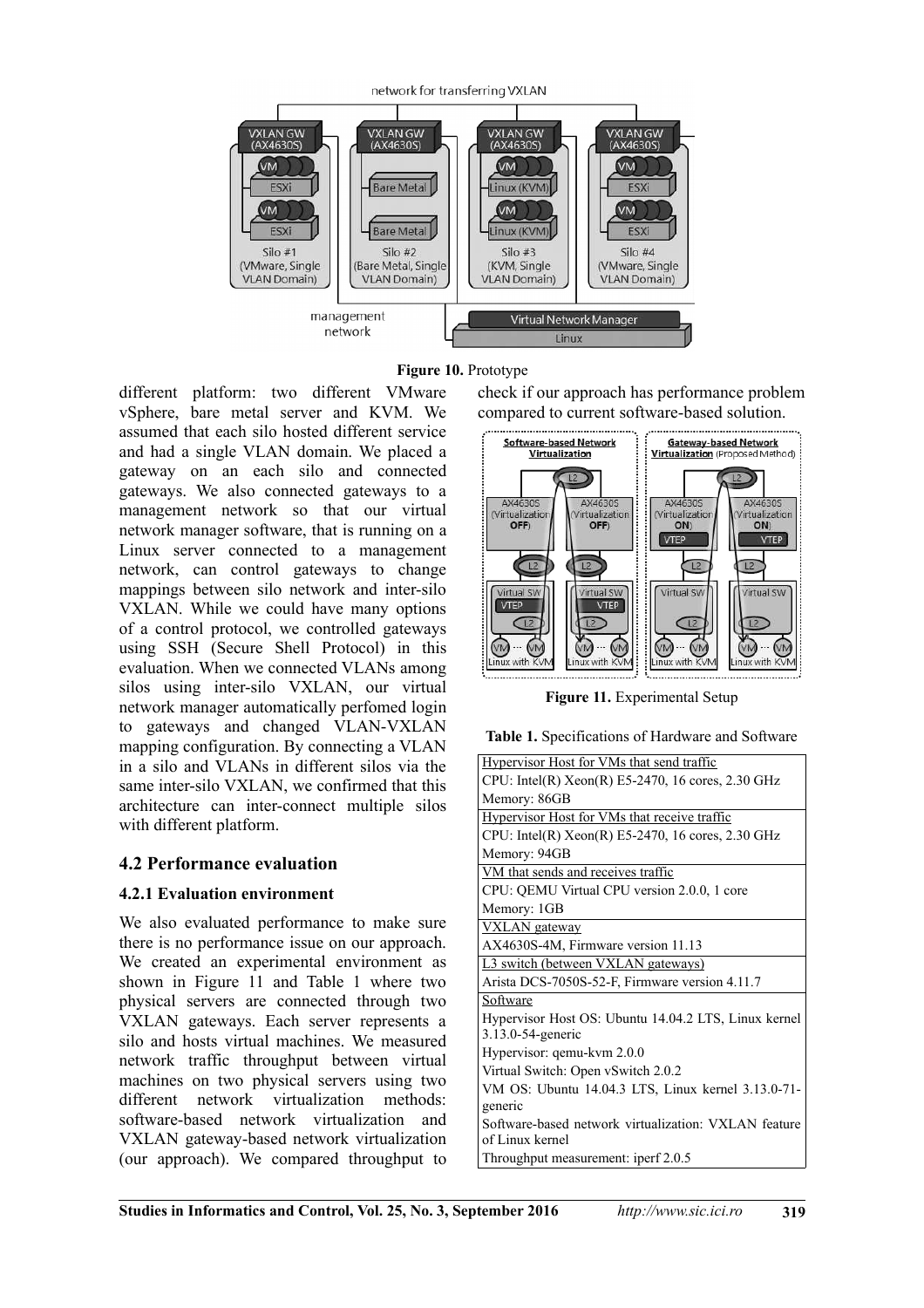

**Figure 10.** Prototype

different platform: two different VMware vSphere, bare metal server and KVM. We assumed that each silo hosted different service and had a single VLAN domain. We placed a gateway on an each silo and connected gateways. We also connected gateways to a management network so that our virtual network manager software, that is running on a Linux server connected to a management network, can control gateways to change mappings between silo network and inter-silo VXLAN. While we could have many options of a control protocol, we controlled gateways using SSH (Secure Shell Protocol) in this evaluation. When we connected VLANs among silos using inter-silo VXLAN, our virtual network manager automatically perfomed login to gateways and changed VLAN-VXLAN mapping configuration. By connecting a VLAN in a silo and VLANs in different silos via the same inter-silo VXLAN, we confirmed that this architecture can inter-connect multiple silos with different platform.

# **4.2 Performance evaluation**

### **4.2.1 Evaluation environment**

We also evaluated performance to make sure there is no performance issue on our approach. We created an experimental environment as shown in Figure 11 and Table 1 where two physical servers are connected through two VXLAN gateways. Each server represents a silo and hosts virtual machines. We measured network traffic throughput between virtual machines on two physical servers using two different network virtualization methods: software-based network virtualization and VXLAN gateway-based network virtualization (our approach). We compared throughput to

check if our approach has performance problem compared to current software-based solution.



**Figure 11.** Experimental Setup

**Table 1.** Specifications of Hardware and Software

| <b>Hypervisor Host for VMs that send traffic</b>                          |
|---------------------------------------------------------------------------|
| CPU: Intel(R) Xeon(R) E5-2470, 16 cores, 2.30 GHz                         |
| Memory: 86GB                                                              |
| Hypervisor Host for VMs that receive traffic                              |
| CPU: Intel(R) $Xeon(R)$ E5-2470, 16 cores, 2.30 GHz                       |
| Memory: 94GB                                                              |
| VM that sends and receives traffic                                        |
| CPU: QEMU Virtual CPU version 2.0.0, 1 core                               |
| Memory: 1GB                                                               |
| <b>VXLAN</b> gateway                                                      |
| AX4630S-4M, Firmware version 11.13                                        |
| L3 switch (between VXLAN gateways)                                        |
| Arista DCS-7050S-52-F, Firmware version 4.11.7                            |
| Software                                                                  |
| Hypervisor Host OS: Ubuntu 14.04.2 LTS, Linux kernel<br>3.13.0-54-generic |
| Hypervisor: qemu-kvm 2.0.0                                                |
| Virtual Switch: Open vSwitch 2.0.2                                        |
| VM OS: Ubuntu 14.04.3 LTS, Linux kernel 3.13.0-71-                        |
| generic                                                                   |
| Software-based network virtualization: VXLAN feature<br>of Linux kernel   |
| Throughput measurement: iperf 2.0.5                                       |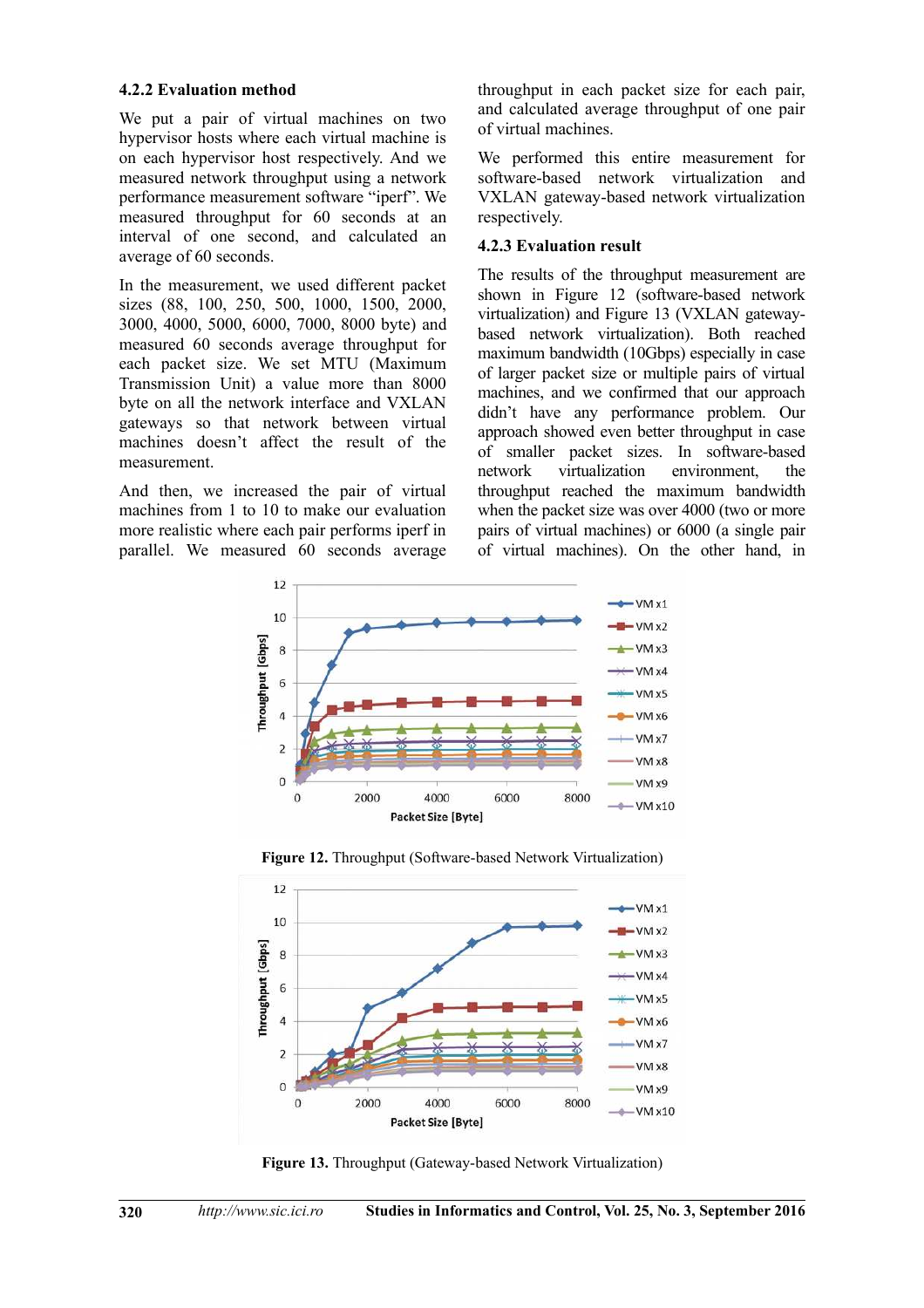#### **4.2.2 Evaluation method**

We put a pair of virtual machines on two hypervisor hosts where each virtual machine is on each hypervisor host respectively. And we measured network throughput using a network performance measurement software "iperf". We measured throughput for 60 seconds at an interval of one second, and calculated an average of 60 seconds.

In the measurement, we used different packet sizes (88, 100, 250, 500, 1000, 1500, 2000, 3000, 4000, 5000, 6000, 7000, 8000 byte) and measured 60 seconds average throughput for each packet size. We set MTU (Maximum Transmission Unit) a value more than 8000 byte on all the network interface and VXLAN gateways so that network between virtual machines doesn't affect the result of the measurement.

And then, we increased the pair of virtual machines from 1 to 10 to make our evaluation more realistic where each pair performs iperf in parallel. We measured 60 seconds average

throughput in each packet size for each pair, and calculated average throughput of one pair of virtual machines.

We performed this entire measurement for software-based network virtualization and VXLAN gateway-based network virtualization respectively.

#### **4.2.3 Evaluation result**

The results of the throughput measurement are shown in Figure 12 (software-based network virtualization) and Figure 13 (VXLAN gatewaybased network virtualization). Both reached maximum bandwidth (10Gbps) especially in case of larger packet size or multiple pairs of virtual machines, and we confirmed that our approach didn't have any performance problem. Our approach showed even better throughput in case of smaller packet sizes. In software-based network virtualization environment, the throughput reached the maximum bandwidth when the packet size was over 4000 (two or more pairs of virtual machines) or 6000 (a single pair of virtual machines). On the other hand, in





**Figure 12.** Throughput (Software-based Network Virtualization)

**Figure 13.** Throughput (Gateway-based Network Virtualization)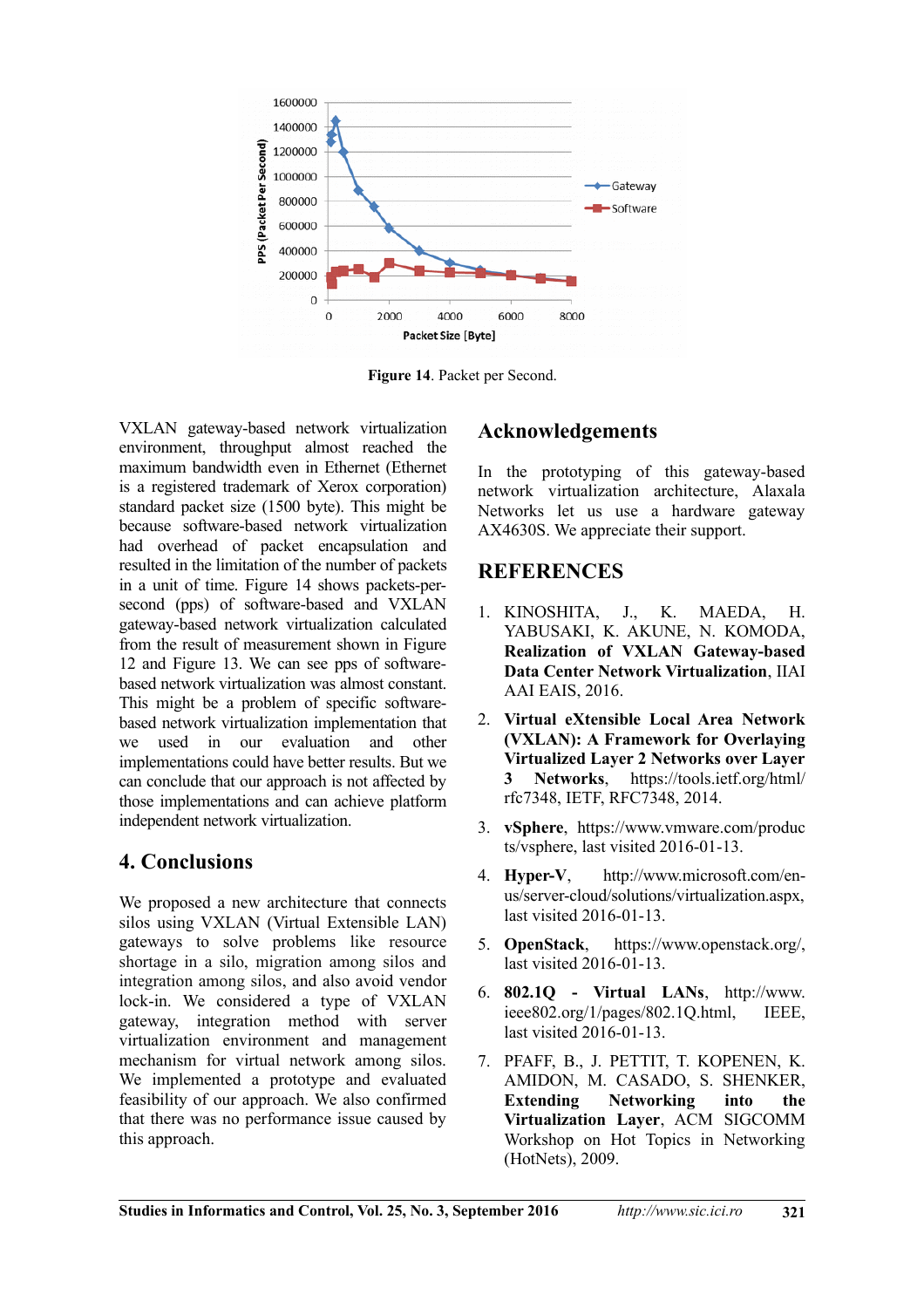

**Figure 14**. Packet per Second.

VXLAN gateway-based network virtualization environment, throughput almost reached the maximum bandwidth even in Ethernet (Ethernet is a registered trademark of Xerox corporation) standard packet size (1500 byte). This might be because software-based network virtualization had overhead of packet encapsulation and resulted in the limitation of the number of packets in a unit of time. Figure 14 shows packets-persecond (pps) of software-based and VXLAN gateway-based network virtualization calculated from the result of measurement shown in Figure 12 and Figure 13. We can see pps of softwarebased network virtualization was almost constant. This might be a problem of specific softwarebased network virtualization implementation that we used in our evaluation and other implementations could have better results. But we can conclude that our approach is not affected by those implementations and can achieve platform independent network virtualization.

# **4. Conclusions**

We proposed a new architecture that connects silos using VXLAN (Virtual Extensible LAN) gateways to solve problems like resource shortage in a silo, migration among silos and integration among silos, and also avoid vendor lock-in. We considered a type of VXLAN gateway, integration method with server virtualization environment and management mechanism for virtual network among silos. We implemented a prototype and evaluated feasibility of our approach. We also confirmed that there was no performance issue caused by this approach.

# **Acknowledgements**

In the prototyping of this gateway-based network virtualization architecture, Alaxala Networks let us use a hardware gateway AX4630S. We appreciate their support.

# **REFERENCES**

- 1. KINOSHITA, J., K. MAEDA, H. YABUSAKI, K. AKUNE, N. KOMODA, **Realization of VXLAN Gateway-based Data Center Network Virtualization**, IIAI AAI EAIS, 2016.
- 2. **Virtual eXtensible Local Area Network (VXLAN): A Framework for Overlaying Virtualized Layer 2 Networks over Layer 3 Networks**, https://tools.ietf.org/html/ rfc7348, IETF, RFC7348, 2014.
- 3. **vSphere**, https://www.vmware.com/produc ts/vsphere, last visited 2016-01-13.
- 4. **Hyper-V**, http://www.microsoft.com/enus/server-cloud/solutions/virtualization.aspx, last visited 2016-01-13.
- 5. **OpenStack**, https://www.openstack.org/, last visited 2016-01-13.
- 6. **802.1Q Virtual LANs**, http://www. ieee802.org/1/pages/802.1Q.html, IEEE, last visited 2016-01-13.
- 7. PFAFF, B., J. PETTIT, T. KOPENEN, K. AMIDON, M. CASADO, S. SHENKER, **Extending Networking into the Virtualization Layer**, ACM SIGCOMM Workshop on Hot Topics in Networking (HotNets), 2009.